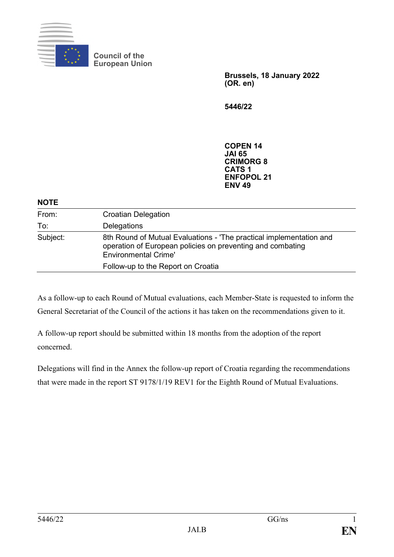

**Council of the European Union**

> **Brussels, 18 January 2022 (OR. en)**

**5446/22**

**COPEN 14 JAI 65 CRIMORG 8 CATS 1 ENFOPOL 21 ENV 49**

| From:<br><b>Croatian Delegation</b><br>To:<br>Delegations<br>Subject:<br>operation of European policies on preventing and combating<br><b>Environmental Crime'</b> | <b>NOTE</b> |                                                                     |
|--------------------------------------------------------------------------------------------------------------------------------------------------------------------|-------------|---------------------------------------------------------------------|
|                                                                                                                                                                    |             |                                                                     |
|                                                                                                                                                                    |             |                                                                     |
|                                                                                                                                                                    |             | 8th Round of Mutual Evaluations - 'The practical implementation and |
|                                                                                                                                                                    |             | Follow-up to the Report on Croatia                                  |

As a follow-up to each Round of Mutual evaluations, each Member-State is requested to inform the General Secretariat of the Council of the actions it has taken on the recommendations given to it.

A follow-up report should be submitted within 18 months from the adoption of the report concerned.

Delegations will find in the Annex the follow-up report of Croatia regarding the recommendations that were made in the report ST 9178/1/19 REV1 for the Eighth Round of Mutual Evaluations.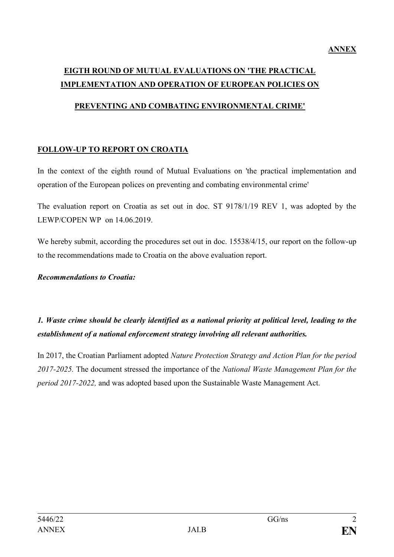## **EIGTH ROUND OF MUTUAL EVALUATIONS ON 'THE PRACTICAL IMPLEMENTATION AND OPERATION OF EUROPEAN POLICIES ON**

#### **PREVENTING AND COMBATING ENVIRONMENTAL CRIME'**

#### **FOLLOW-UP TO REPORT ON CROATIA**

In the context of the eighth round of Mutual Evaluations on 'the practical implementation and operation of the European polices on preventing and combating environmental crime'

The evaluation report on Croatia as set out in doc. ST 9178/1/19 REV 1, was adopted by the LEWP/COPEN WP on 14.06.2019.

We hereby submit, according the procedures set out in doc. 15538/4/15, our report on the follow-up to the recommendations made to Croatia on the above evaluation report.

#### *Recommendations to Croatia:*

*1. Waste crime should be clearly identified as a national priority at political level, leading to the establishment of a national enforcement strategy involving all relevant authorities.*

In 2017, the Croatian Parliament adopted *Nature Protection Strategy and Action Plan for the period 2017-2025.* The document stressed the importance of the *National Waste Management Plan for the period 2017-2022,* and was adopted based upon the Sustainable Waste Management Act.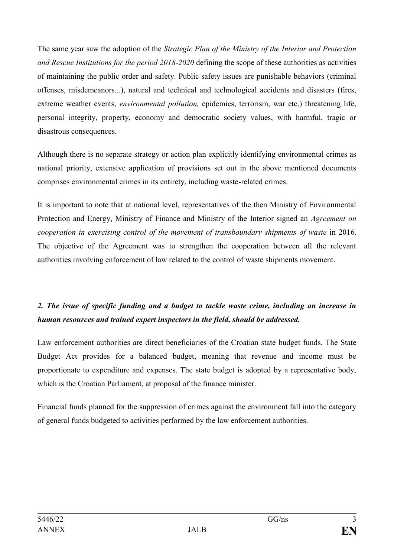The same year saw the adoption of the *Strategic Plan of the Ministry of the Interior and Protection and Rescue Institutions for the period 2018-2020* defining the scope of these authorities as activities of maintaining the public order and safety. Public safety issues are punishable behaviors (criminal offenses, misdemeanors...), natural and technical and technological accidents and disasters (fires, extreme weather events, *environmental pollution,* epidemics, terrorism, war etc.) threatening life, personal integrity, property, economy and democratic society values, with harmful, tragic or disastrous consequences.

Although there is no separate strategy or action plan explicitly identifying environmental crimes as national priority, extensive application of provisions set out in the above mentioned documents comprises environmental crimes in its entirety, including waste-related crimes.

It is important to note that at national level, representatives of the then Ministry of Environmental Protection and Energy, Ministry of Finance and Ministry of the Interior signed an *Agreement on cooperation in exercising control of the movement of transboundary shipments of waste* in 2016. The objective of the Agreement was to strengthen the cooperation between all the relevant authorities involving enforcement of law related to the control of waste shipments movement.

## *2. The issue of specific funding and a budget to tackle waste crime, including an increase in human resources and trained expert inspectors in the field, should be addressed.*

Law enforcement authorities are direct beneficiaries of the Croatian state budget funds. The State Budget Act provides for a balanced budget, meaning that revenue and income must be proportionate to expenditure and expenses. The state budget is adopted by a representative body, which is the Croatian Parliament, at proposal of the finance minister.

Financial funds planned for the suppression of crimes against the environment fall into the category of general funds budgeted to activities performed by the law enforcement authorities.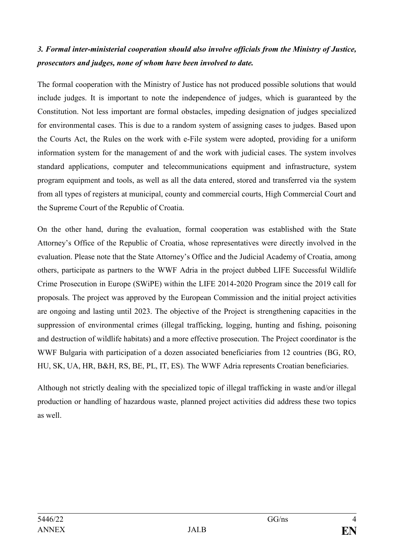### *3. Formal inter-ministerial cooperation should also involve officials from the Ministry of Justice, prosecutors and judges, none of whom have been involved to date.*

The formal cooperation with the Ministry of Justice has not produced possible solutions that would include judges. It is important to note the independence of judges, which is guaranteed by the Constitution. Not less important are formal obstacles, impeding designation of judges specialized for environmental cases. This is due to a random system of assigning cases to judges. Based upon the Courts Act, the Rules on the work with e-File system were adopted, providing for a uniform information system for the management of and the work with judicial cases. The system involves standard applications, computer and telecommunications equipment and infrastructure, system program equipment and tools, as well as all the data entered, stored and transferred via the system from all types of registers at municipal, county and commercial courts, High Commercial Court and the Supreme Court of the Republic of Croatia.

On the other hand, during the evaluation, formal cooperation was established with the State Attorney's Office of the Republic of Croatia, whose representatives were directly involved in the evaluation. Please note that the State Attorney's Office and the Judicial Academy of Croatia, among others, participate as partners to the WWF Adria in the project dubbed LIFE Successful Wildlife Crime Prosecution in Europe (SWiPE) within the LIFE 2014-2020 Program since the 2019 call for proposals. The project was approved by the European Commission and the initial project activities are ongoing and lasting until 2023. The objective of the Project is strengthening capacities in the suppression of environmental crimes (illegal trafficking, logging, hunting and fishing, poisoning and destruction of wildlife habitats) and a more effective prosecution. The Project coordinator is the WWF Bulgaria with participation of a dozen associated beneficiaries from 12 countries (BG, RO, HU, SK, UA, HR, B&H, RS, BE, PL, IT, ES). The WWF Adria represents Croatian beneficiaries.

Although not strictly dealing with the specialized topic of illegal trafficking in waste and/or illegal production or handling of hazardous waste, planned project activities did address these two topics as well.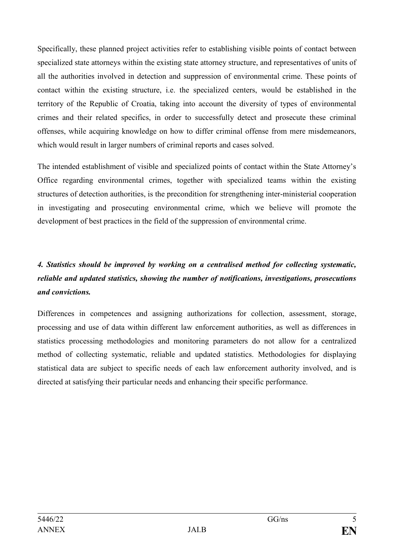Specifically, these planned project activities refer to establishing visible points of contact between specialized state attorneys within the existing state attorney structure, and representatives of units of all the authorities involved in detection and suppression of environmental crime. These points of contact within the existing structure, i.e. the specialized centers, would be established in the territory of the Republic of Croatia, taking into account the diversity of types of environmental crimes and their related specifics, in order to successfully detect and prosecute these criminal offenses, while acquiring knowledge on how to differ criminal offense from mere misdemeanors, which would result in larger numbers of criminal reports and cases solved.

The intended establishment of visible and specialized points of contact within the State Attorney's Office regarding environmental crimes, together with specialized teams within the existing structures of detection authorities, is the precondition for strengthening inter-ministerial cooperation in investigating and prosecuting environmental crime, which we believe will promote the development of best practices in the field of the suppression of environmental crime.

## *4. Statistics should be improved by working on a centralised method for collecting systematic, reliable and updated statistics, showing the number of notifications, investigations, prosecutions and convictions.*

Differences in competences and assigning authorizations for collection, assessment, storage, processing and use of data within different law enforcement authorities, as well as differences in statistics processing methodologies and monitoring parameters do not allow for a centralized method of collecting systematic, reliable and updated statistics. Methodologies for displaying statistical data are subject to specific needs of each law enforcement authority involved, and is directed at satisfying their particular needs and enhancing their specific performance.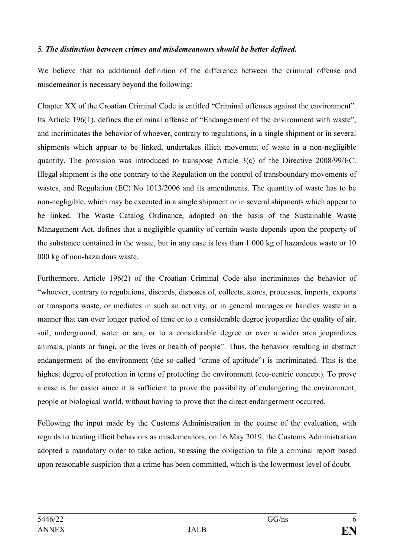#### *5. The distinction between crimes and misdemeanours should be better defined.*

We believe that no additional definition of the difference between the criminal offense and misdemeanor is necessary beyond the following:

Chapter XX of the Croatian Criminal Code is entitled "Criminal offenses against the environment". Its Article 196(1), defines the criminal offense of "Endangerment of the environment with waste", and incriminates the behavior of whoever, contrary to regulations, in a single shipment or in several shipments which appear to be linked, undertakes illicit movement of waste in a non-negligible quantity. The provision was introduced to transpose Article 3(c) of the Directive 2008/99/EC. Illegal shipment is the one contrary to the Regulation on the control of transboundary movements of wastes, and Regulation (EC) No 1013/2006 and its amendments. The quantity of waste has to be non-negligible, which may be executed in a single shipment or in several shipments which appear to be linked. The Waste Catalog Ordinance, adopted on the basis of the Sustainable Waste Management Act, defines that a negligible quantity of certain waste depends upon the property of the substance contained in the waste, but in any case is less than 1 000 kg of hazardous waste or 10 000 kg of non-hazardous waste.

Furthermore, Article 196(2) of the Croatian Criminal Code also incriminates the behavior of "whoever, contrary to regulations, discards, disposes of, collects, stores, processes, imports, exports or transports waste, or mediates in such an activity, or in general manages or handles waste in a manner that can over longer period of time or to a considerable degree jeopardize the quality of air, soil, underground, water or sea, or to a considerable degree or over a wider area jeopardizes animals, plants or fungi, or the lives or health of people". Thus, the behavior resulting in abstract endangerment of the environment (the so-called "crime of aptitude") is incriminated. This is the highest degree of protection in terms of protecting the environment (eco-centric concept). To prove a case is far easier since it is sufficient to prove the possibility of endangering the environment, people or biological world, without having to prove that the direct endangerment occurred.

Following the input made by the Customs Administration in the course of the evaluation, with regards to treating illicit behaviors as misdemeanors, on 16 May 2019, the Customs Administration adopted a mandatory order to take action, stressing the obligation to file a criminal report based upon reasonable suspicion that a crime has been committed, which is the lowermost level of doubt.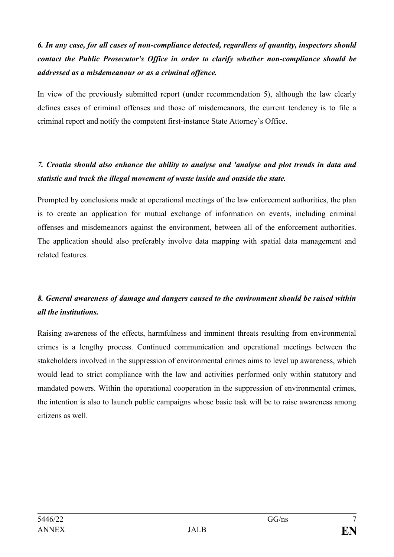# *6. In any case, for all cases of non-compliance detected, regardless of quantity, inspectors should contact the Public Prosecutor's Office in order to clarify whether non-compliance should be addressed as a misdemeanour or as a criminal offence.*

In view of the previously submitted report (under recommendation 5), although the law clearly defines cases of criminal offenses and those of misdemeanors, the current tendency is to file a criminal report and notify the competent first-instance State Attorney's Office.

#### *7. Croatia should also enhance the ability to analyse and 'analyse and plot trends in data and statistic and track the illegal movement of waste inside and outside the state.*

Prompted by conclusions made at operational meetings of the law enforcement authorities, the plan is to create an application for mutual exchange of information on events, including criminal offenses and misdemeanors against the environment, between all of the enforcement authorities. The application should also preferably involve data mapping with spatial data management and related features.

## *8. General awareness of damage and dangers caused to the environment should be raised within all the institutions.*

Raising awareness of the effects, harmfulness and imminent threats resulting from environmental crimes is a lengthy process. Continued communication and operational meetings between the stakeholders involved in the suppression of environmental crimes aims to level up awareness, which would lead to strict compliance with the law and activities performed only within statutory and mandated powers. Within the operational cooperation in the suppression of environmental crimes, the intention is also to launch public campaigns whose basic task will be to raise awareness among citizens as well.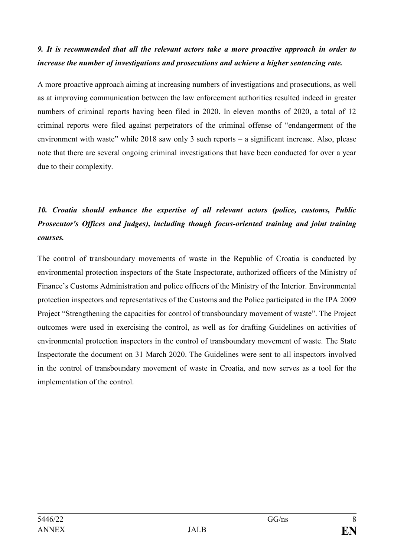#### *9. It is recommended that all the relevant actors take a more proactive approach in order to increase the number of investigations and prosecutions and achieve a higher sentencing rate.*

A more proactive approach aiming at increasing numbers of investigations and prosecutions, as well as at improving communication between the law enforcement authorities resulted indeed in greater numbers of criminal reports having been filed in 2020. In eleven months of 2020, a total of 12 criminal reports were filed against perpetrators of the criminal offense of "endangerment of the environment with waste" while 2018 saw only 3 such reports – a significant increase. Also, please note that there are several ongoing criminal investigations that have been conducted for over a year due to their complexity.

## *10. Croatia should enhance the expertise of all relevant actors (police, customs, Public Prosecutor's Offices and judges), including though focus-oriented training and joint training courses.*

The control of transboundary movements of waste in the Republic of Croatia is conducted by environmental protection inspectors of the State Inspectorate, authorized officers of the Ministry of Finance's Customs Administration and police officers of the Ministry of the Interior. Environmental protection inspectors and representatives of the Customs and the Police participated in the IPA 2009 Project "Strengthening the capacities for control of transboundary movement of waste". The Project outcomes were used in exercising the control, as well as for drafting Guidelines on activities of environmental protection inspectors in the control of transboundary movement of waste. The State Inspectorate the document on 31 March 2020. The Guidelines were sent to all inspectors involved in the control of transboundary movement of waste in Croatia, and now serves as a tool for the implementation of the control.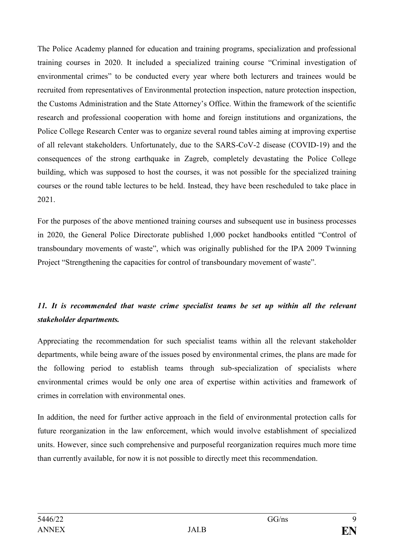The Police Academy planned for education and training programs, specialization and professional training courses in 2020. It included a specialized training course "Criminal investigation of environmental crimes" to be conducted every year where both lecturers and trainees would be recruited from representatives of Environmental protection inspection, nature protection inspection, the Customs Administration and the State Attorney's Office. Within the framework of the scientific research and professional cooperation with home and foreign institutions and organizations, the Police College Research Center was to organize several round tables aiming at improving expertise of all relevant stakeholders. Unfortunately, due to the SARS-CoV-2 disease (COVID-19) and the consequences of the strong earthquake in Zagreb, completely devastating the Police College building, which was supposed to host the courses, it was not possible for the specialized training courses or the round table lectures to be held. Instead, they have been rescheduled to take place in 2021.

For the purposes of the above mentioned training courses and subsequent use in business processes in 2020, the General Police Directorate published 1,000 pocket handbooks entitled "Control of transboundary movements of waste", which was originally published for the IPA 2009 Twinning Project "Strengthening the capacities for control of transboundary movement of waste".

## 11. It is recommended that waste crime specialist teams be set up within all the relevant *stakeholder departments.*

Appreciating the recommendation for such specialist teams within all the relevant stakeholder departments, while being aware of the issues posed by environmental crimes, the plans are made for the following period to establish teams through sub-specialization of specialists where environmental crimes would be only one area of expertise within activities and framework of crimes in correlation with environmental ones.

In addition, the need for further active approach in the field of environmental protection calls for future reorganization in the law enforcement, which would involve establishment of specialized units. However, since such comprehensive and purposeful reorganization requires much more time than currently available, for now it is not possible to directly meet this recommendation.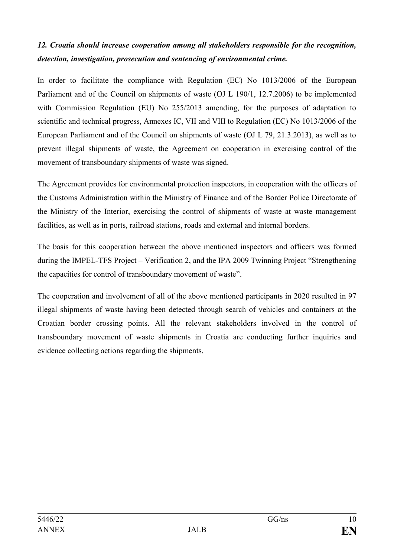## *12. Croatia should increase cooperation among all stakeholders responsible for the recognition, detection, investigation, prosecution and sentencing of environmental crime.*

In order to facilitate the compliance with Regulation (EC) No 1013/2006 of the European Parliament and of the Council on shipments of waste (OJ L 190/1, 12.7.2006) to be implemented with Commission Regulation (EU) No 255/2013 amending, for the purposes of adaptation to scientific and technical progress, Annexes IC, VII and VIII to Regulation (EC) No 1013/2006 of the European Parliament and of the Council on shipments of waste (OJ L 79, 21.3.2013), as well as to prevent illegal shipments of waste, the Agreement on cooperation in exercising control of the movement of transboundary shipments of waste was signed.

The Agreement provides for environmental protection inspectors, in cooperation with the officers of the Customs Administration within the Ministry of Finance and of the Border Police Directorate of the Ministry of the Interior, exercising the control of shipments of waste at waste management facilities, as well as in ports, railroad stations, roads and external and internal borders.

The basis for this cooperation between the above mentioned inspectors and officers was formed during the IMPEL-TFS Project – Verification 2, and the IPA 2009 Twinning Project "Strengthening the capacities for control of transboundary movement of waste".

The cooperation and involvement of all of the above mentioned participants in 2020 resulted in 97 illegal shipments of waste having been detected through search of vehicles and containers at the Croatian border crossing points. All the relevant stakeholders involved in the control of transboundary movement of waste shipments in Croatia are conducting further inquiries and evidence collecting actions regarding the shipments.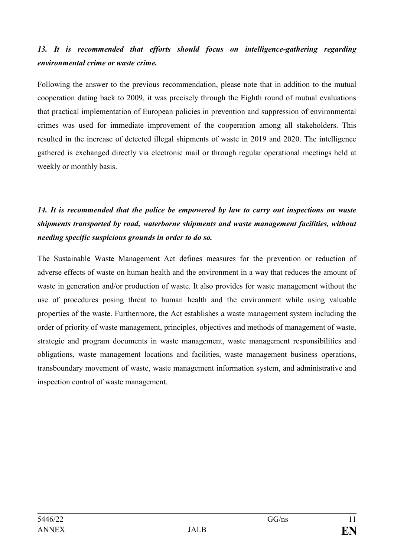## 13. It is recommended that efforts should focus on intelligence-gathering regarding *environmental crime or waste crime.*

Following the answer to the previous recommendation, please note that in addition to the mutual cooperation dating back to 2009, it was precisely through the Eighth round of mutual evaluations that practical implementation of European policies in prevention and suppression of environmental crimes was used for immediate improvement of the cooperation among all stakeholders. This resulted in the increase of detected illegal shipments of waste in 2019 and 2020. The intelligence gathered is exchanged directly via electronic mail or through regular operational meetings held at weekly or monthly basis.

## *14. It is recommended that the police be empowered by law to carry out inspections on waste shipments transported by road, waterborne shipments and waste management facilities, without needing specific suspicious grounds in order to do so.*

The Sustainable Waste Management Act defines measures for the prevention or reduction of adverse effects of waste on human health and the environment in a way that reduces the amount of waste in generation and/or production of waste. It also provides for waste management without the use of procedures posing threat to human health and the environment while using valuable properties of the waste. Furthermore, the Act establishes a waste management system including the order of priority of waste management, principles, objectives and methods of management of waste, strategic and program documents in waste management, waste management responsibilities and obligations, waste management locations and facilities, waste management business operations, transboundary movement of waste, waste management information system, and administrative and inspection control of waste management.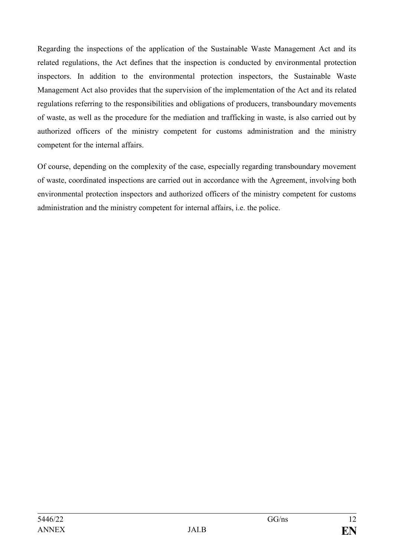Regarding the inspections of the application of the Sustainable Waste Management Act and its related regulations, the Act defines that the inspection is conducted by environmental protection inspectors. In addition to the environmental protection inspectors, the Sustainable Waste Management Act also provides that the supervision of the implementation of the Act and its related regulations referring to the responsibilities and obligations of producers, transboundary movements of waste, as well as the procedure for the mediation and trafficking in waste, is also carried out by authorized officers of the ministry competent for customs administration and the ministry competent for the internal affairs.

Of course, depending on the complexity of the case, especially regarding transboundary movement of waste, coordinated inspections are carried out in accordance with the Agreement, involving both environmental protection inspectors and authorized officers of the ministry competent for customs administration and the ministry competent for internal affairs, i.e. the police.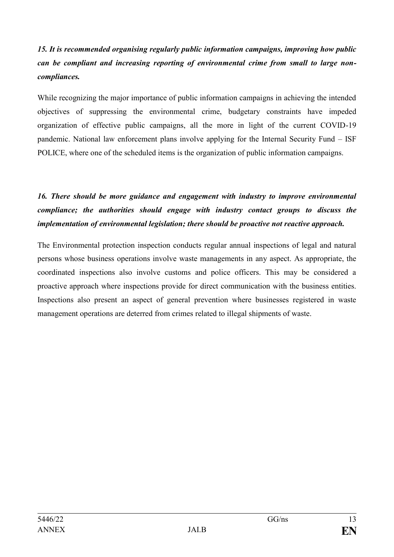## *15. It is recommended organising regularly public information campaigns, improving how public can be compliant and increasing reporting of environmental crime from small to large noncompliances.*

While recognizing the major importance of public information campaigns in achieving the intended objectives of suppressing the environmental crime, budgetary constraints have impeded organization of effective public campaigns, all the more in light of the current COVID-19 pandemic. National law enforcement plans involve applying for the Internal Security Fund – ISF POLICE, where one of the scheduled items is the organization of public information campaigns.

## *16. There should be more guidance and engagement with industry to improve environmental compliance; the authorities should engage with industry contact groups to discuss the implementation of environmental legislation; there should be proactive not reactive approach.*

The Environmental protection inspection conducts regular annual inspections of legal and natural persons whose business operations involve waste managements in any aspect. As appropriate, the coordinated inspections also involve customs and police officers. This may be considered a proactive approach where inspections provide for direct communication with the business entities. Inspections also present an aspect of general prevention where businesses registered in waste management operations are deterred from crimes related to illegal shipments of waste.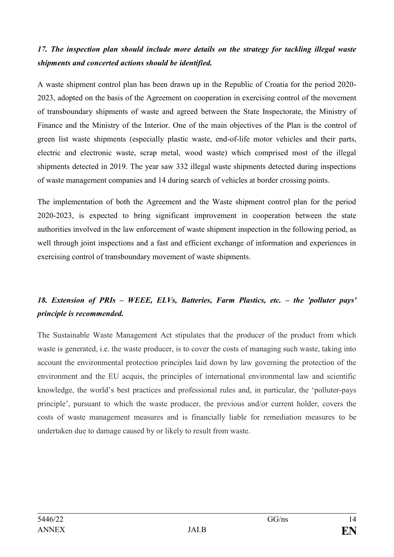### *17. The inspection plan should include more details on the strategy for tackling illegal waste shipments and concerted actions should be identified.*

A waste shipment control plan has been drawn up in the Republic of Croatia for the period 2020- 2023, adopted on the basis of the Agreement on cooperation in exercising control of the movement of transboundary shipments of waste and agreed between the State Inspectorate, the Ministry of Finance and the Ministry of the Interior. One of the main objectives of the Plan is the control of green list waste shipments (especially plastic waste, end-of-life motor vehicles and their parts, electric and electronic waste, scrap metal, wood waste) which comprised most of the illegal shipments detected in 2019. The year saw 332 illegal waste shipments detected during inspections of waste management companies and 14 during search of vehicles at border crossing points.

The implementation of both the Agreement and the Waste shipment control plan for the period 2020-2023, is expected to bring significant improvement in cooperation between the state authorities involved in the law enforcement of waste shipment inspection in the following period, as well through joint inspections and a fast and efficient exchange of information and experiences in exercising control of transboundary movement of waste shipments.

## *18. Extension of PRIs – WEEE, ELVs, Batteries, Farm Plastics, etc. – the 'polluter pays' principle is recommended.*

The Sustainable Waste Management Act stipulates that the producer of the product from which waste is generated, i.e. the waste producer, is to cover the costs of managing such waste, taking into account the environmental protection principles laid down by law governing the protection of the environment and the EU acquis, the principles of international environmental law and scientific knowledge, the world's best practices and professional rules and, in particular, the 'polluter-pays principle', pursuant to which the waste producer, the previous and/or current holder, covers the costs of waste management measures and is financially liable for remediation measures to be undertaken due to damage caused by or likely to result from waste.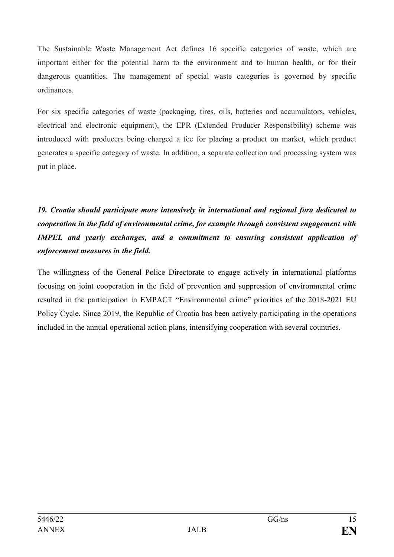The Sustainable Waste Management Act defines 16 specific categories of waste, which are important either for the potential harm to the environment and to human health, or for their dangerous quantities. The management of special waste categories is governed by specific ordinances.

For six specific categories of waste (packaging, tires, oils, batteries and accumulators, vehicles, electrical and electronic equipment), the EPR (Extended Producer Responsibility) scheme was introduced with producers being charged a fee for placing a product on market, which product generates a specific category of waste. In addition, a separate collection and processing system was put in place.

## *19. Croatia should participate more intensively in international and regional fora dedicated to cooperation in the field of environmental crime, for example through consistent engagement with IMPEL and yearly exchanges, and a commitment to ensuring consistent application of enforcement measures in the field.*

The willingness of the General Police Directorate to engage actively in international platforms focusing on joint cooperation in the field of prevention and suppression of environmental crime resulted in the participation in EMPACT "Environmental crime" priorities of the 2018-2021 EU Policy Cycle. Since 2019, the Republic of Croatia has been actively participating in the operations included in the annual operational action plans, intensifying cooperation with several countries.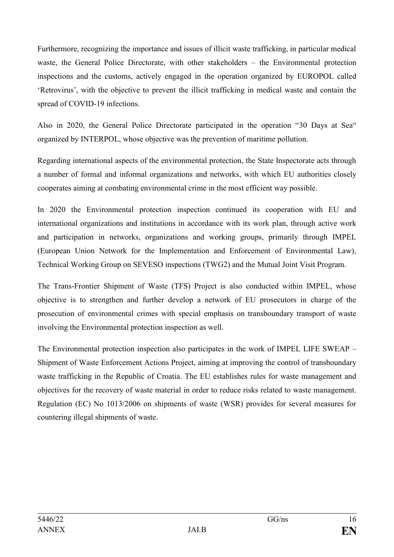Furthermore, recognizing the importance and issues of illicit waste trafficking, in particular medical waste, the General Police Directorate, with other stakeholders – the Environmental protection inspections and the customs, actively engaged in the operation organized by EUROPOL called 'Retrovirus', with the objective to prevent the illicit trafficking in medical waste and contain the spread of COVID-19 infections.

Also in 2020, the General Police Directorate participated in the operation "30 Days at Sea" organized by INTERPOL, whose objective was the prevention of maritime pollution.

Regarding international aspects of the environmental protection, the State Inspectorate acts through a number of formal and informal organizations and networks, with which EU authorities closely cooperates aiming at combating environmental crime in the most efficient way possible.

In 2020 the Environmental protection inspection continued its cooperation with EU and international organizations and institutions in accordance with its work plan, through active work and participation in networks, organizations and working groups, primarily through IMPEL (European Union Network for the Implementation and Enforcement of Environmental Law), Technical Working Group on SEVESO inspections (TWG2) and the Mutual Joint Visit Program.

The Trans-Frontier Shipment of Waste (TFS) Project is also conducted within IMPEL, whose objective is to strengthen and further develop a network of EU prosecutors in charge of the prosecution of environmental crimes with special emphasis on transboundary transport of waste involving the Environmental protection inspection as well.

The Environmental protection inspection also participates in the work of IMPEL LIFE SWEAP – Shipment of Waste Enforcement Actions Project, aiming at improving the control of transboundary waste trafficking in the Republic of Croatia. The EU establishes rules for waste management and objectives for the recovery of waste material in order to reduce risks related to waste management. Regulation (EC) No 1013/2006 on shipments of waste (WSR) provides for several measures for countering illegal shipments of waste.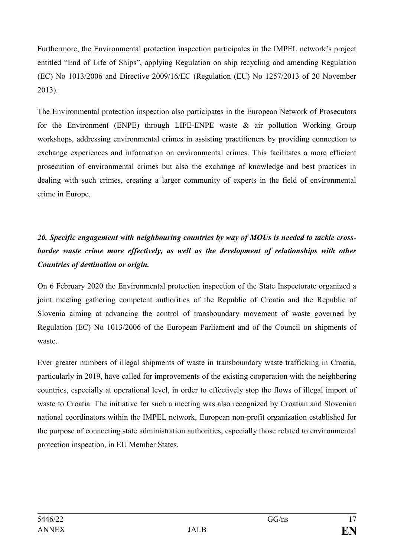Furthermore, the Environmental protection inspection participates in the IMPEL network's project entitled "End of Life of Ships", applying Regulation on ship recycling and amending Regulation (EC) No 1013/2006 and Directive 2009/16/EC (Regulation (EU) No 1257/2013 of 20 November 2013).

The Environmental protection inspection also participates in the European Network of Prosecutors for the Environment (ENPE) through LIFE-ENPE waste & air pollution Working Group workshops, addressing environmental crimes in assisting practitioners by providing connection to exchange experiences and information on environmental crimes. This facilitates a more efficient prosecution of environmental crimes but also the exchange of knowledge and best practices in dealing with such crimes, creating a larger community of experts in the field of environmental crime in Europe.

## *20. Specific engagement with neighbouring countries by way of MOUs is needed to tackle cross*border waste crime more effectively, as well as the development of relationships with other *Countries of destination or origin.*

On 6 February 2020 the Environmental protection inspection of the State Inspectorate organized a joint meeting gathering competent authorities of the Republic of Croatia and the Republic of Slovenia aiming at advancing the control of transboundary movement of waste governed by Regulation (EC) No 1013/2006 of the European Parliament and of the Council on shipments of waste.

Ever greater numbers of illegal shipments of waste in transboundary waste trafficking in Croatia, particularly in 2019, have called for improvements of the existing cooperation with the neighboring countries, especially at operational level, in order to effectively stop the flows of illegal import of waste to Croatia. The initiative for such a meeting was also recognized by Croatian and Slovenian national coordinators within the IMPEL network, European non-profit organization established for the purpose of connecting state administration authorities, especially those related to environmental protection inspection, in EU Member States.